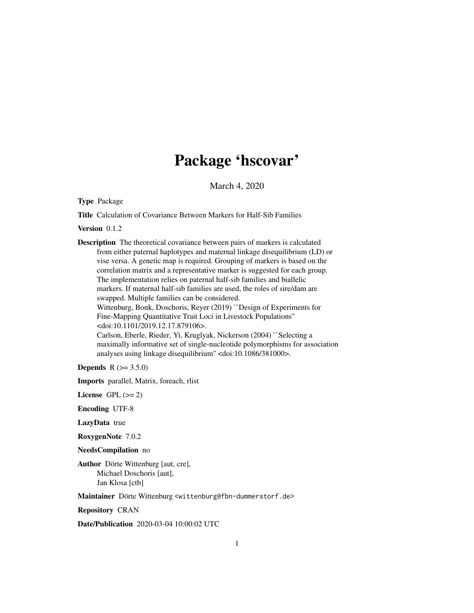# Package 'hscovar'

March 4, 2020

Type Package

Title Calculation of Covariance Between Markers for Half-Sib Families

Version 0.1.2

Description The theoretical covariance between pairs of markers is calculated from either paternal haplotypes and maternal linkage disequilibrium (LD) or vise versa. A genetic map is required. Grouping of markers is based on the correlation matrix and a representative marker is suggested for each group. The implementation relies on paternal half-sib families and biallelic markers. If maternal half-sib families are used, the roles of sire/dam are swapped. Multiple families can be considered. Wittenburg, Bonk, Doschoris, Reyer (2019) ``Design of Experiments for Fine-Mapping Quantitative Trait Loci in Livestock Populations'' <doi:10.1101/2019.12.17.879106>. Carlson, Eberle, Rieder, Yi, Kruglyak, Nickerson (2004) ``Selecting a maximally informative set of single-nucleotide polymorphisms for association analyses using linkage disequilibrium'' <doi:10.1086/381000>.

**Depends**  $R (= 3.5.0)$ 

Imports parallel, Matrix, foreach, rlist

License GPL  $(>= 2)$ 

Encoding UTF-8

LazyData true

RoxygenNote 7.0.2

NeedsCompilation no

Author Dörte Wittenburg [aut, cre], Michael Doschoris [aut], Jan Klosa [ctb]

Maintainer Dörte Wittenburg <wittenburg@fbn-dummerstorf.de>

Repository CRAN

Date/Publication 2020-03-04 10:00:02 UTC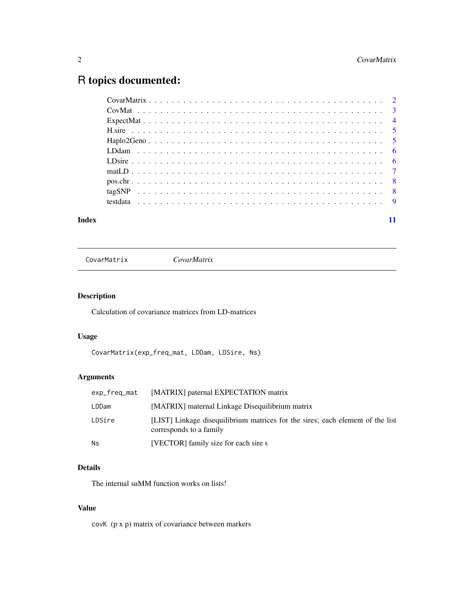# <span id="page-1-0"></span>R topics documented:

#### **Index** [11](#page-10-0)

CovarMatrix *CovarMatrix*

# Description

Calculation of covariance matrices from LD-matrices

# Usage

CovarMatrix(exp\_freq\_mat, LDDam, LDSire, Ns)

# Arguments

| exp_freq_mat | [MATRIX] paternal EXPECTATION matrix                                                                      |
|--------------|-----------------------------------------------------------------------------------------------------------|
| LDDam        | [MATRIX] maternal Linkage Disequilibrium matrix                                                           |
| LDSire       | [LIST] Linkage disequilibrium matrices for the sires; each element of the list<br>corresponds to a family |
| Ns           | [VECTOR] family size for each sire s                                                                      |

#### Details

The internal suMM function works on lists!

# Value

covK (p x p) matrix of covariance between markers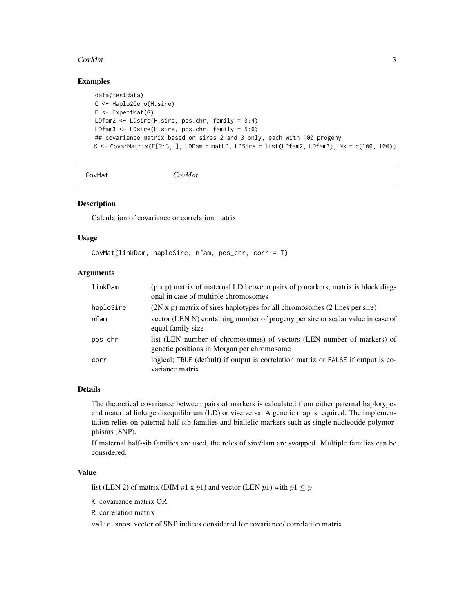#### <span id="page-2-0"></span> $CovMat$  3

# Examples

```
data(testdata)
G <- Haplo2Geno(H.sire)
E <- ExpectedMat(G)LDfam2 <- LDsire(H.sire, pos.chr, family = 3:4)
LDfam3 <- LDsire(H.sire, pos.chr, family = 5:6)
## covariance matrix based on sires 2 and 3 only, each with 100 progeny
K <- CovarMatrix(E[2:3, ], LDDam = matLD, LDSire = list(LDfam2, LDfam3), Ns = c(100, 100))
```

```
CovMat CovMat
```
#### Description

Calculation of covariance or correlation matrix

# Usage

```
CovMat(linkDam, haploSire, nfam, pos_chr, corr = T)
```
#### Arguments

| linkDam   | (p x p) matrix of maternal LD between pairs of p markers; matrix is block diag-<br>onal in case of multiple chromosomes |
|-----------|-------------------------------------------------------------------------------------------------------------------------|
| haploSire | $(2N \times p)$ matrix of sires haplotypes for all chromosomes $(2 \text{ lines per site})$                             |
| nfam      | vector (LEN N) containing number of progeny per sire or scalar value in case of<br>equal family size                    |
| pos_chr   | list (LEN number of chromosomes) of vectors (LEN number of markers) of<br>genetic positions in Morgan per chromosome    |
| corr      | logical; TRUE (default) if output is correlation matrix or FALSE if output is co-<br>variance matrix                    |

# Details

The theoretical covariance between pairs of markers is calculated from either paternal haplotypes and maternal linkage disequilibrium (LD) or vise versa. A genetic map is required. The implementation relies on paternal half-sib families and biallelic markers such as single nucleotide polymorphisms (SNP).

If maternal half-sib families are used, the roles of sire/dam are swapped. Multiple families can be considered.

# Value

list (LEN 2) of matrix (DIM  $p1 \times p1$ ) and vector (LEN  $p1$ ) with  $p1 \leq p$ 

K covariance matrix OR

R correlation matrix

valid.snps vector of SNP indices considered for covariance/ correlation matrix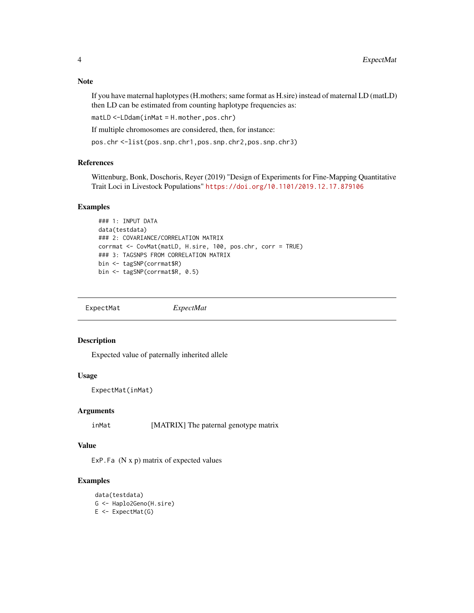#### <span id="page-3-0"></span>Note

If you have maternal haplotypes (H.mothers; same format as H.sire) instead of maternal LD (matLD) then LD can be estimated from counting haplotype frequencies as:

matLD <-LDdam(inMat = H.mother,pos.chr)

If multiple chromosomes are considered, then, for instance:

pos.chr <-list(pos.snp.chr1,pos.snp.chr2,pos.snp.chr3)

#### References

Wittenburg, Bonk, Doschoris, Reyer (2019) "Design of Experiments for Fine-Mapping Quantitative Trait Loci in Livestock Populations" <https://doi.org/10.1101/2019.12.17.879106>

#### Examples

```
### 1: INPUT DATA
data(testdata)
### 2: COVARIANCE/CORRELATION MATRIX
corrmat <- CovMat(matLD, H.sire, 100, pos.chr, corr = TRUE)
### 3: TAGSNPS FROM CORRELATION MATRIX
bin <- tagSNP(corrmat$R)
bin <- tagSNP(corrmat$R, 0.5)
```
ExpectMat *ExpectMat*

# Description

Expected value of paternally inherited allele

#### Usage

ExpectMat(inMat)

#### Arguments

inMat [MATRIX] The paternal genotype matrix

#### Value

ExP.Fa  $(N x p)$  matrix of expected values

# Examples

data(testdata) G <- Haplo2Geno(H.sire)  $E \leftarrow$  ExpectMat $(G)$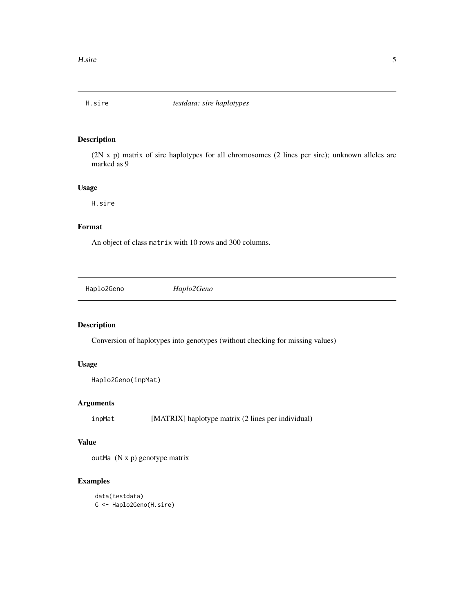<span id="page-4-0"></span>

# Description

(2N x p) matrix of sire haplotypes for all chromosomes (2 lines per sire); unknown alleles are marked as 9

## Usage

H.sire

## Format

An object of class matrix with 10 rows and 300 columns.

Haplo2Geno *Haplo2Geno*

# Description

Conversion of haplotypes into genotypes (without checking for missing values)

# Usage

```
Haplo2Geno(inpMat)
```
# Arguments

inpMat [MATRIX] haplotype matrix (2 lines per individual)

## Value

outMa (N x p) genotype matrix

# Examples

```
data(testdata)
G <- Haplo2Geno(H.sire)
```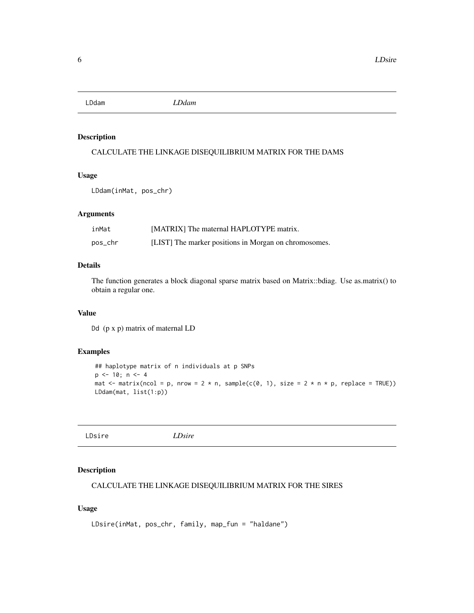<span id="page-5-0"></span>LDdam *LDdam*

#### Description

CALCULATE THE LINKAGE DISEQUILIBRIUM MATRIX FOR THE DAMS

# Usage

LDdam(inMat, pos\_chr)

#### Arguments

| inMat   | [MATRIX] The maternal HAPLOTYPE matrix.               |
|---------|-------------------------------------------------------|
| pos_chr | [LIST] The marker positions in Morgan on chromosomes. |

# Details

The function generates a block diagonal sparse matrix based on Matrix::bdiag. Use as.matrix() to obtain a regular one.

#### Value

Dd (p x p) matrix of maternal LD

#### Examples

```
## haplotype matrix of n individuals at p SNPs
p \le -10; n \le -4mat \le matrix(ncol = p, nrow = 2 * n, sample(c(0, 1), size = 2 * n * p, replace = TRUE))
LDdam(mat, list(1:p))
```

| LDsire<br>LDsire |
|------------------|
|------------------|

# Description

```
CALCULATE THE LINKAGE DISEQUILIBRIUM MATRIX FOR THE SIRES
```
#### Usage

```
LDsire(inMat, pos_chr, family, map_fun = "haldane")
```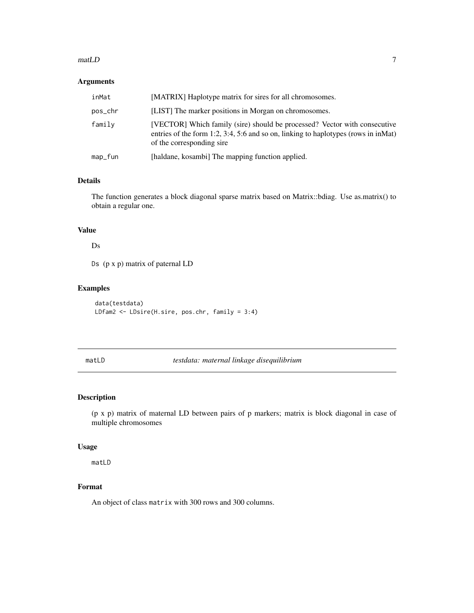#### <span id="page-6-0"></span> $math$  matLD  $\qquad \qquad$  7

#### Arguments

| inMat   | [MATRIX] Haplotype matrix for sires for all chromosomes.                                                                                                                                      |
|---------|-----------------------------------------------------------------------------------------------------------------------------------------------------------------------------------------------|
| pos_chr | [LIST] The marker positions in Morgan on chromosomes.                                                                                                                                         |
| family  | [VECTOR] Which family (sire) should be processed? Vector with consecutive<br>entries of the form 1:2, 3:4, 5:6 and so on, linking to haplotypes (rows in in Mat)<br>of the corresponding sire |
| map_fun | [haldane, kosambi] The mapping function applied.                                                                                                                                              |

#### Details

The function generates a block diagonal sparse matrix based on Matrix::bdiag. Use as.matrix() to obtain a regular one.

# Value

# Ds

Ds (p x p) matrix of paternal LD

#### Examples

data(testdata) LDfam2 <- LDsire(H.sire, pos.chr, family = 3:4)

matLD *testdata: maternal linkage disequilibrium*

# Description

(p x p) matrix of maternal LD between pairs of p markers; matrix is block diagonal in case of multiple chromosomes

#### Usage

matLD

#### Format

An object of class matrix with 300 rows and 300 columns.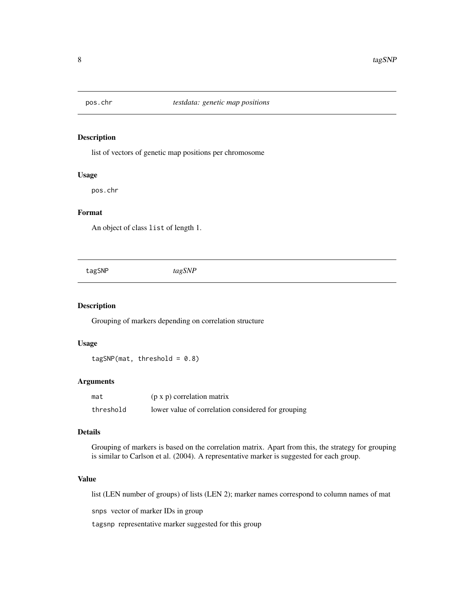<span id="page-7-0"></span>

#### Description

list of vectors of genetic map positions per chromosome

#### Usage

pos.chr

# Format

An object of class list of length 1.

tagSNP *tagSNP*

# Description

Grouping of markers depending on correlation structure

#### Usage

 $tagSNP(max, threshold = 0.8)$ 

#### Arguments

| mat       | $(p \times p)$ correlation matrix                  |
|-----------|----------------------------------------------------|
| threshold | lower value of correlation considered for grouping |

## Details

Grouping of markers is based on the correlation matrix. Apart from this, the strategy for grouping is similar to Carlson et al. (2004). A representative marker is suggested for each group.

#### Value

list (LEN number of groups) of lists (LEN 2); marker names correspond to column names of mat

snps vector of marker IDs in group

tagsnp representative marker suggested for this group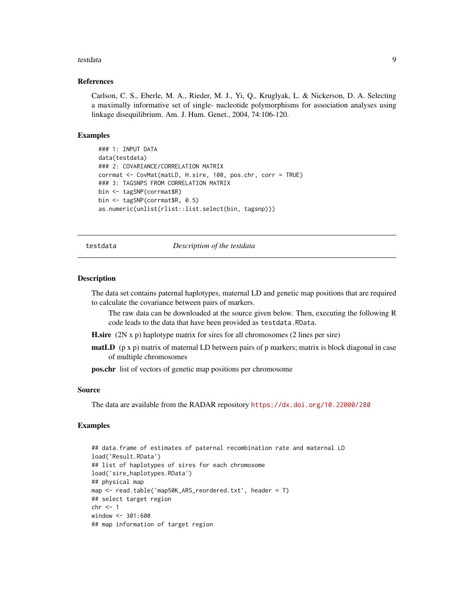#### <span id="page-8-0"></span>testdata 9

#### References

Carlson, C. S., Eberle, M. A., Rieder, M. J., Yi, Q., Kruglyak, L. & Nickerson, D. A. Selecting a maximally informative set of single- nucleotide polymorphisms for association analyses using linkage disequilibrium. Am. J. Hum. Genet., 2004, 74:106-120.

## Examples

```
### 1: INPUT DATA
data(testdata)
### 2: COVARIANCE/CORRELATION MATRIX
corrmat <- CovMat(matLD, H.sire, 100, pos.chr, corr = TRUE)
### 3: TAGSNPS FROM CORRELATION MATRIX
bin <- tagSNP(corrmat$R)
bin <- tagSNP(corrmat$R, 0.5)
as.numeric(unlist(rlist::list.select(bin, tagsnp)))
```
testdata *Description of the testdata*

#### Description

The data set contains paternal haplotypes, maternal LD and genetic map positions that are required to calculate the covariance between pairs of markers.

The raw data can be downloaded at the source given below. Then, executing the following R code leads to the data that have been provided as testdata.RData.

**H.sire**  $(2N \times p)$  haplotype matrix for sires for all chromosomes  $(2 \text{ lines per sire})$ 

**matLD** ( $p \times p$ ) matrix of maternal LD between pairs of  $p$  markers; matrix is block diagonal in case of multiple chromosomes

pos.chr list of vectors of genetic map positions per chromosome

#### Source

The data are available from the RADAR repository <https://dx.doi.org/10.22000/280>

#### Examples

```
## data.frame of estimates of paternal recombination rate and maternal LD
load('Result.RData')
## list of haplotypes of sires for each chromosome
load('sire_haplotypes.RData')
## physical map
map <- read.table('map50K_ARS_reordered.txt', header = T)
## select target region
chr \leq 1window <- 301:600
## map information of target region
```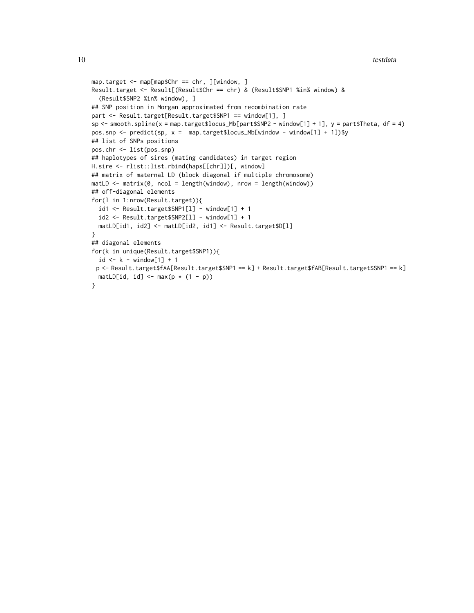```
10 testdata
```

```
map.target <- map[map$Chr == chr, ][window, ]
Result.target <- Result[(Result$Chr == chr) & (Result$SNP1 %in% window) &
  (Result$SNP2 %in% window), ]
## SNP position in Morgan approximated from recombination rate
part <- Result.target[Result.target$SNP1 == window[1], ]
sp \leftarrow smooth.splitne(x = map.target$locus_Mb[part$SNP2 - window[1] + 1], y = part$Theation of $p$ is the same.pos.snp \leq predict(sp, x = map.target$locus_Mb[window - window[1] + 1])$y
## list of SNPs positions
pos.chr <- list(pos.snp)
## haplotypes of sires (mating candidates) in target region
H.sire <- rlist::list.rbind(haps[[chr]])[, window]
## matrix of maternal LD (block diagonal if multiple chromosome)
math> = \text{matrix}(0, \text{ncol} = \text{length}(\text{window}), \text{now} = \text{length}(\text{window}))## off-diagonal elements
for(l in 1:nrow(Result.target)){
  id1 <- Result.target$SNP1[l] - window[1] + 1
  id2 <- Result.target$SNP2[l] - window[1] + 1
  matLD[id1, id2] <- matLD[id2, id1] <- Result.target$D[l]
}
## diagonal elements
for(k in unique(Result.target$SNP1)){
  id \le k - window[1] + 1
 p <- Result.target$fAA[Result.target$SNP1 == k] + Result.target$fAB[Result.target$SNP1 == k]
 matLD[id, id] <- max(p * (1 - p))
}
```